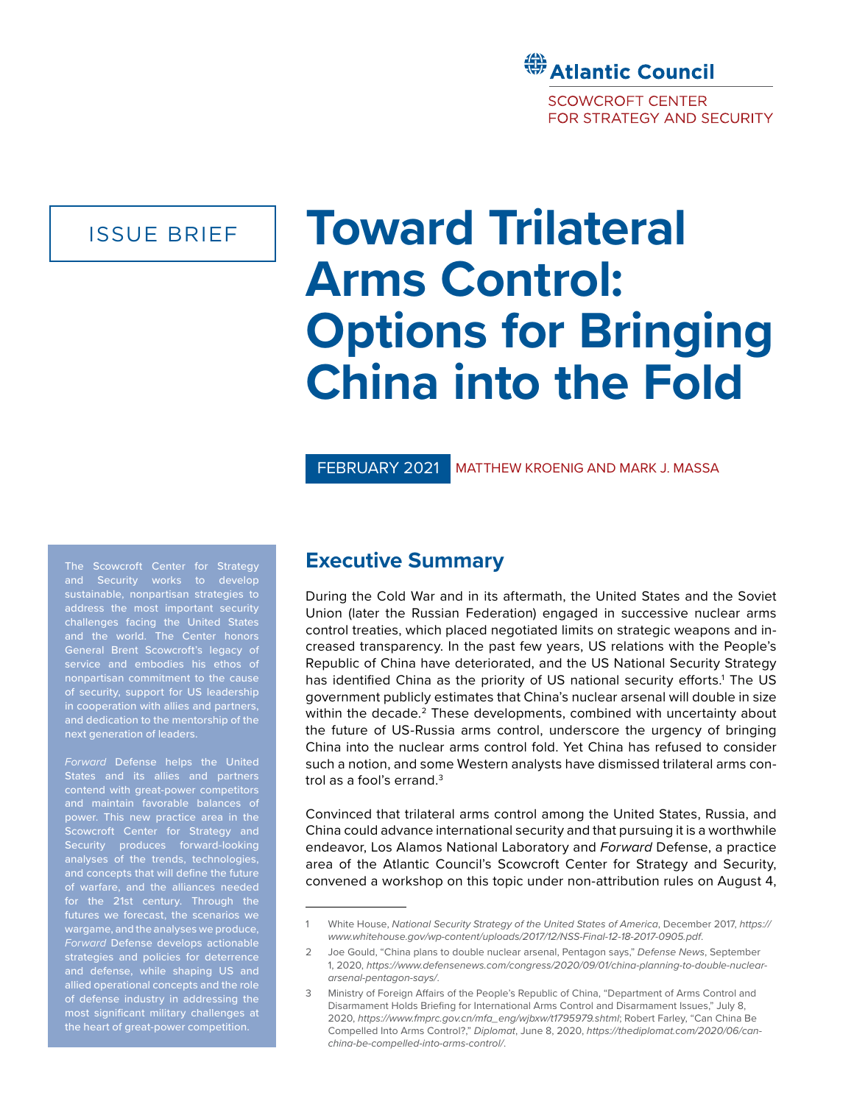

ISSUE BRIEF

# **Toward Trilateral Arms Control: Options for Bringing China into the Fold**

FEBRUARY 2021 MATTHEW KROENIG AND MARK J. MASSA

The Scowcroft Center for Strategy and Security works to develop sustainable, nonpartisan strategies to address the most important security challenges facing the United States General Brent Scowcroft's legacy of of security, support for US leadership in cooperation with allies and partners, and dedication to the mentorship of the

*Forward* Defense helps the United contend with great-power competitors power. This new practice area in the Scowcroft Center for Strategy and Security produces forward-looking analyses of the trends, technologies, and concepts that will define the future of warfare, and the alliances needed for the 21st century. Through the wargame, and the analyses we produce, *Forward* Defense develops actionable strategies and policies for deterrence and defense, while shaping US and allied operational concepts and the role of defense industry in addressing the most significant military challenges at the heart of great-power competition.

# **Executive Summary**

During the Cold War and in its aftermath, the United States and the Soviet Union (later the Russian Federation) engaged in successive nuclear arms control treaties, which placed negotiated limits on strategic weapons and increased transparency. In the past few years, US relations with the People's Republic of China have deteriorated, and the US National Security Strategy has identified China as the priority of US national security efforts.<sup>1</sup> The US government publicly estimates that China's nuclear arsenal will double in size within the decade.<sup>2</sup> These developments, combined with uncertainty about the future of US-Russia arms control, underscore the urgency of bringing China into the nuclear arms control fold. Yet China has refused to consider such a notion, and some Western analysts have dismissed trilateral arms control as a fool's errand.<sup>3</sup>

Convinced that trilateral arms control among the United States, Russia, and China could advance international security and that pursuing it is a worthwhile endeavor, Los Alamos National Laboratory and *Forward* Defense, a practice area of the Atlantic Council's Scowcroft Center for Strategy and Security, convened a workshop on this topic under non-attribution rules on August 4,

<sup>1</sup> White House, *National Security Strategy of the United States of America*, December 2017, *[https://](https://www.whitehouse.gov/wp-content/uploads/2017/12/NSS-Final-12-18-2017-0905.pdf) [www.whitehouse.gov/wp-content/uploads/2017/12/NSS-Final-12-18-2017-0905.pdf](https://www.whitehouse.gov/wp-content/uploads/2017/12/NSS-Final-12-18-2017-0905.pdf)*.

<sup>2</sup> Joe Gould, "China plans to double nuclear arsenal, Pentagon says," *Defense News*, September 1, 2020, *[https://www.defensenews.com/congress/2020/09/01/china-planning-to-double-nuclear](https://www.defensenews.com/congress/2020/09/01/china-planning-to-double-nuclear-arsenal-pentagon-says/)[arsenal-pentagon-says/](https://www.defensenews.com/congress/2020/09/01/china-planning-to-double-nuclear-arsenal-pentagon-says/)*.

<sup>3</sup> Ministry of Foreign Affairs of the People's Republic of China, "Department of Arms Control and Disarmament Holds Briefing for International Arms Control and Disarmament Issues," July 8, 2020, *[https://www.fmprc.gov.cn/mfa\\_eng/wjbxw/t1795979.shtml](https://www.fmprc.gov.cn/mfa_eng/wjbxw/t1795979.shtml)*; Robert Farley, "Can China Be Compelled Into Arms Control?," *Diplomat*, June 8, 2020, *[https://thediplomat.com/2020/06/can](https://thediplomat.com/2020/06/can-china-be-compelled-into-arms-control/)[china-be-compelled-into-arms-control/](https://thediplomat.com/2020/06/can-china-be-compelled-into-arms-control/)*.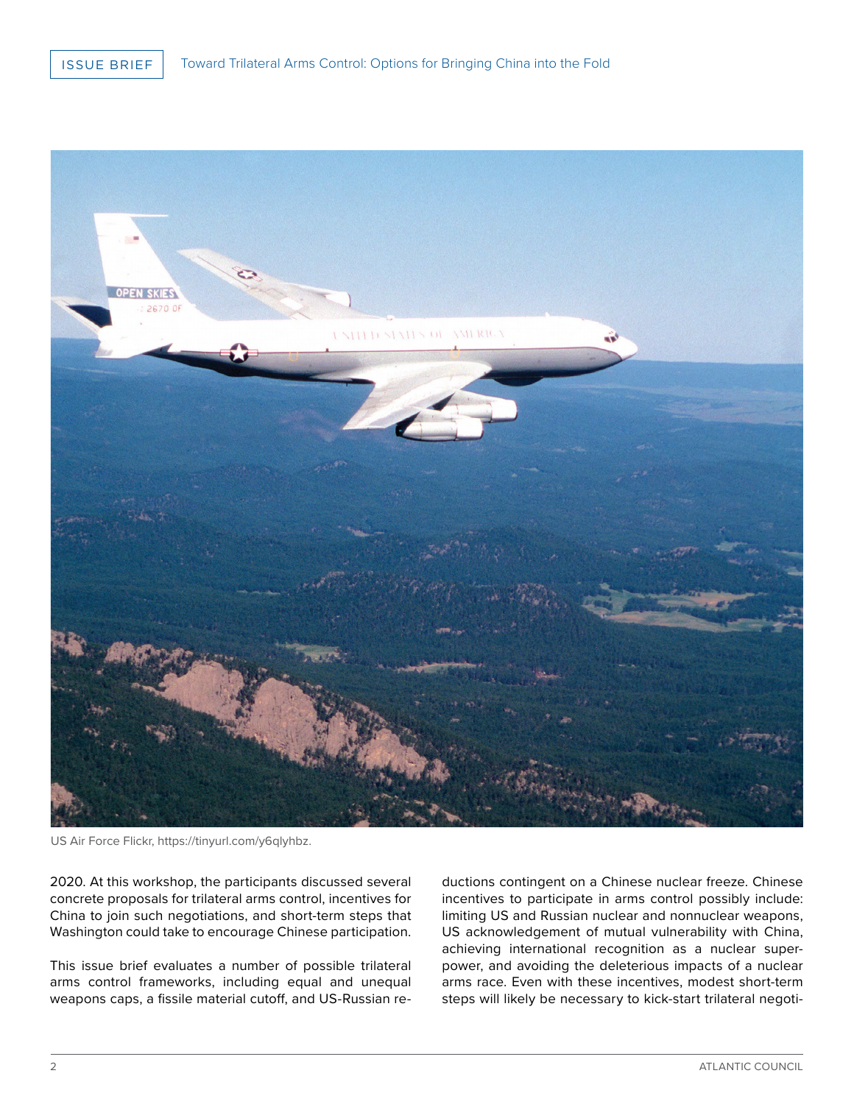

US Air Force Flickr, https://tinyurl.com/y6qlyhbz.

2020. At this workshop, the participants discussed several concrete proposals for trilateral arms control, incentives for China to join such negotiations, and short-term steps that Washington could take to encourage Chinese participation.

This issue brief evaluates a number of possible trilateral arms control frameworks, including equal and unequal weapons caps, a fissile material cutoff, and US-Russian reductions contingent on a Chinese nuclear freeze. Chinese incentives to participate in arms control possibly include: limiting US and Russian nuclear and nonnuclear weapons, US acknowledgement of mutual vulnerability with China, achieving international recognition as a nuclear superpower, and avoiding the deleterious impacts of a nuclear arms race. Even with these incentives, modest short-term steps will likely be necessary to kick-start trilateral negoti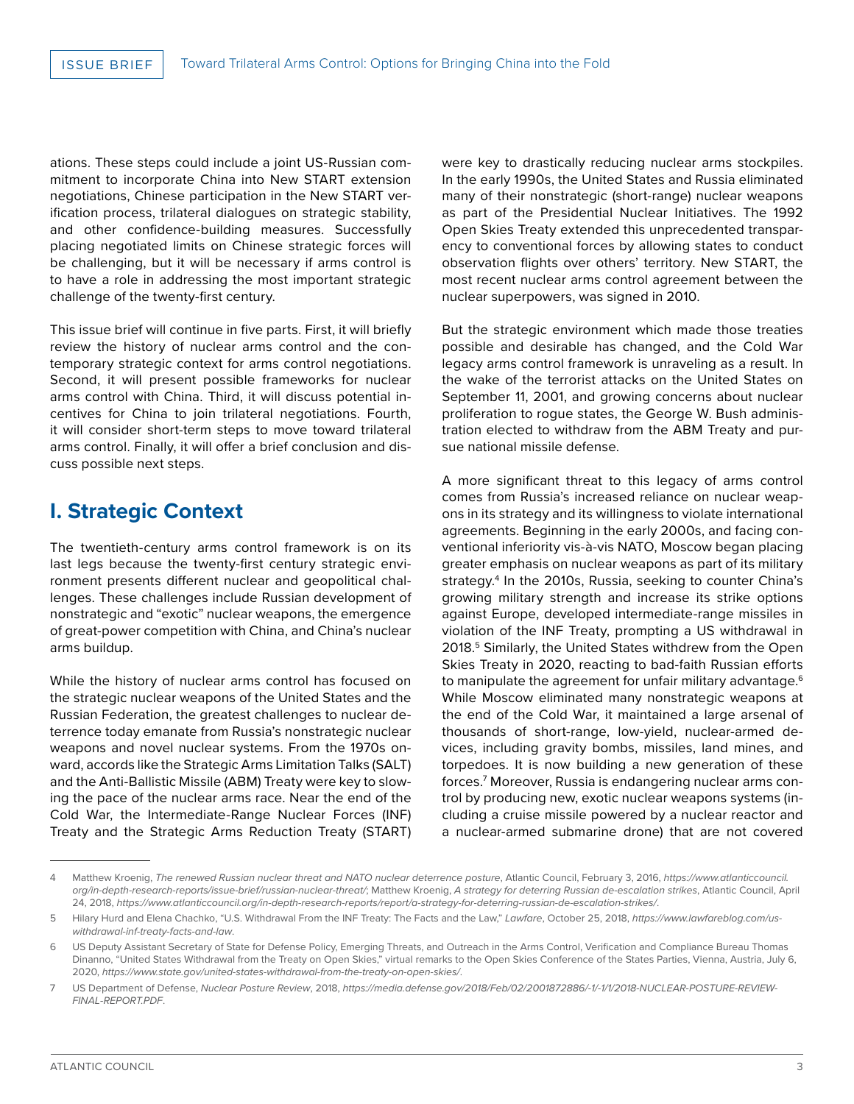ations. These steps could include a joint US-Russian commitment to incorporate China into New START extension negotiations, Chinese participation in the New START verification process, trilateral dialogues on strategic stability, and other confidence-building measures. Successfully placing negotiated limits on Chinese strategic forces will be challenging, but it will be necessary if arms control is to have a role in addressing the most important strategic challenge of the twenty-first century.

This issue brief will continue in five parts. First, it will briefly review the history of nuclear arms control and the contemporary strategic context for arms control negotiations. Second, it will present possible frameworks for nuclear arms control with China. Third, it will discuss potential incentives for China to join trilateral negotiations. Fourth, it will consider short-term steps to move toward trilateral arms control. Finally, it will offer a brief conclusion and discuss possible next steps.

# **I. Strategic Context**

The twentieth-century arms control framework is on its last legs because the twenty-first century strategic environment presents different nuclear and geopolitical challenges. These challenges include Russian development of nonstrategic and "exotic" nuclear weapons, the emergence of great-power competition with China, and China's nuclear arms buildup.

While the history of nuclear arms control has focused on the strategic nuclear weapons of the United States and the Russian Federation, the greatest challenges to nuclear deterrence today emanate from Russia's nonstrategic nuclear weapons and novel nuclear systems. From the 1970s onward, accords like the Strategic Arms Limitation Talks (SALT) and the Anti-Ballistic Missile (ABM) Treaty were key to slowing the pace of the nuclear arms race. Near the end of the Cold War, the Intermediate-Range Nuclear Forces (INF) Treaty and the Strategic Arms Reduction Treaty (START) were key to drastically reducing nuclear arms stockpiles. In the early 1990s, the United States and Russia eliminated many of their nonstrategic (short-range) nuclear weapons as part of the Presidential Nuclear Initiatives. The 1992 Open Skies Treaty extended this unprecedented transparency to conventional forces by allowing states to conduct observation flights over others' territory. New START, the most recent nuclear arms control agreement between the nuclear superpowers, was signed in 2010.

But the strategic environment which made those treaties possible and desirable has changed, and the Cold War legacy arms control framework is unraveling as a result. In the wake of the terrorist attacks on the United States on September 11, 2001, and growing concerns about nuclear proliferation to rogue states, the George W. Bush administration elected to withdraw from the ABM Treaty and pursue national missile defense.

A more significant threat to this legacy of arms control comes from Russia's increased reliance on nuclear weapons in its strategy and its willingness to violate international agreements. Beginning in the early 2000s, and facing conventional inferiority vis-à-vis NATO, Moscow began placing greater emphasis on nuclear weapons as part of its military strategy.4 In the 2010s, Russia, seeking to counter China's growing military strength and increase its strike options against Europe, developed intermediate-range missiles in violation of the INF Treaty, prompting a US withdrawal in 2018.<sup>5</sup> Similarly, the United States withdrew from the Open Skies Treaty in 2020, reacting to bad-faith Russian efforts to manipulate the agreement for unfair military advantage.<sup>6</sup> While Moscow eliminated many nonstrategic weapons at the end of the Cold War, it maintained a large arsenal of thousands of short-range, low-yield, nuclear-armed devices, including gravity bombs, missiles, land mines, and torpedoes. It is now building a new generation of these forces.7 Moreover, Russia is endangering nuclear arms control by producing new, exotic nuclear weapons systems (including a cruise missile powered by a nuclear reactor and a nuclear-armed submarine drone) that are not covered

<sup>4</sup> Matthew Kroenig, *The renewed Russian nuclear threat and NATO nuclear deterrence posture*, Atlantic Council, February 3, 2016, *[https://www.atlanticcouncil.](https://www.atlanticcouncil.org/in-depth-research-reports/issue-brief/russian-nuclear-threat/) [org/in-depth-research-reports/issue-brief/russian-nuclear-threat/](https://www.atlanticcouncil.org/in-depth-research-reports/issue-brief/russian-nuclear-threat/)*; Matthew Kroenig, *A strategy for deterring Russian de-escalation strikes*, Atlantic Council, April 24, 2018, *<https://www.atlanticcouncil.org/in-depth-research-reports/report/a-strategy-for-deterring-russian-de-escalation-strikes/>*.

<sup>5</sup> Hilary Hurd and Elena Chachko, "U.S. Withdrawal From the INF Treaty: The Facts and the Law," *Lawfare*, October 25, 2018, *[https://www.lawfareblog.com/us](https://www.lawfareblog.com/us-withdrawal-inf-treaty-facts-and-law)[withdrawal-inf-treaty-facts-and-law](https://www.lawfareblog.com/us-withdrawal-inf-treaty-facts-and-law)*.

<sup>6</sup> US Deputy Assistant Secretary of State for Defense Policy, Emerging Threats, and Outreach in the Arms Control, Verification and Compliance Bureau Thomas Dinanno, "United States Withdrawal from the Treaty on Open Skies," virtual remarks to the Open Skies Conference of the States Parties, Vienna, Austria, July 6, 2020, *<https://www.state.gov/united-states-withdrawal-from-the-treaty-on-open-skies/>*.

<sup>7</sup> US Department of Defense, *Nuclear Posture Review*, 2018, *[https://media.defense.gov/2018/Feb/02/2001872886/-1/-1/1/2018-NUCLEAR-POSTURE-REVIEW-](https://media.defense.gov/2018/Feb/02/2001872886/-1/-1/1/2018-NUCLEAR-POSTURE-REVIEW-FINAL-REPORT.PDF)[FINAL-REPORT.PDF](https://media.defense.gov/2018/Feb/02/2001872886/-1/-1/1/2018-NUCLEAR-POSTURE-REVIEW-FINAL-REPORT.PDF)*.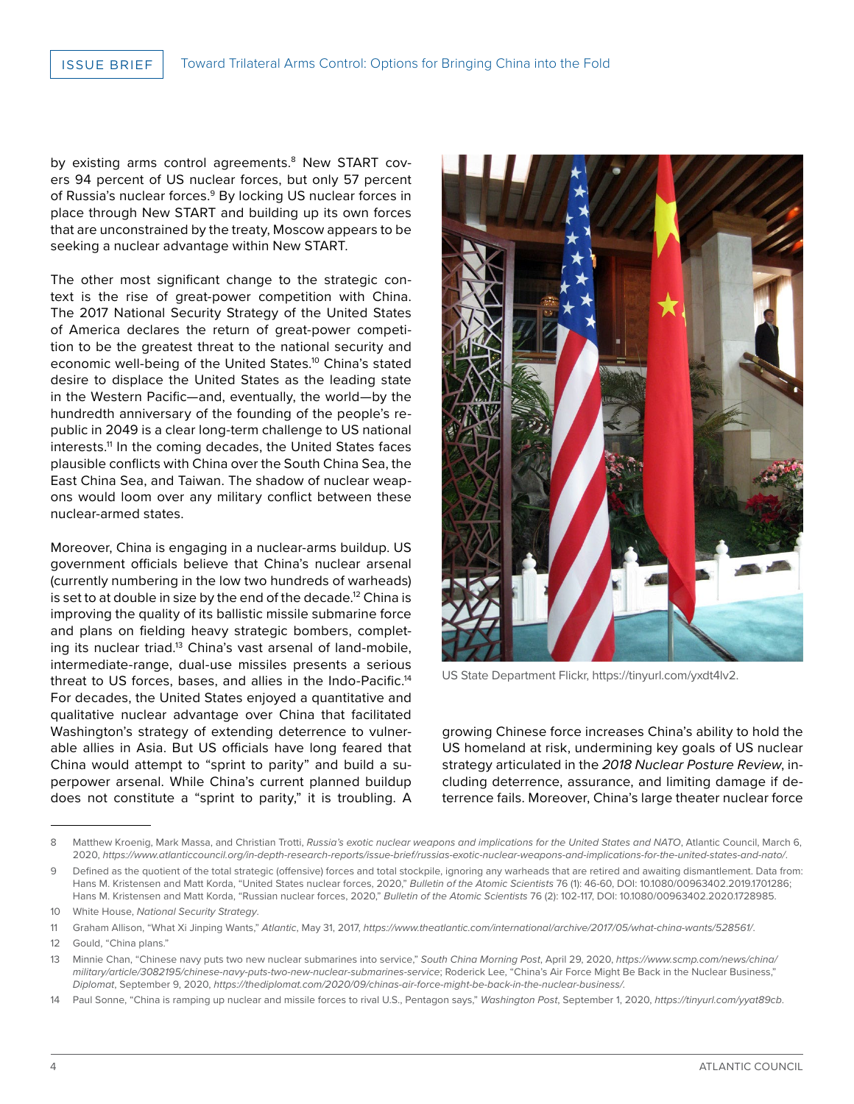by existing arms control agreements.<sup>8</sup> New START covers 94 percent of US nuclear forces, but only 57 percent of Russia's nuclear forces.<sup>9</sup> By locking US nuclear forces in place through New START and building up its own forces that are unconstrained by the treaty, Moscow appears to be seeking a nuclear advantage within New START.

The other most significant change to the strategic context is the rise of great-power competition with China. The 2017 National Security Strategy of the United States of America declares the return of great-power competition to be the greatest threat to the national security and economic well-being of the United States.<sup>10</sup> China's stated desire to displace the United States as the leading state in the Western Pacific—and, eventually, the world—by the hundredth anniversary of the founding of the people's republic in 2049 is a clear long-term challenge to US national interests.<sup>11</sup> In the coming decades, the United States faces plausible conflicts with China over the South China Sea, the East China Sea, and Taiwan. The shadow of nuclear weapons would loom over any military conflict between these nuclear-armed states.

Moreover, China is engaging in a nuclear-arms buildup. US government officials believe that China's nuclear arsenal (currently numbering in the low two hundreds of warheads) is set to at double in size by the end of the decade.<sup>12</sup> China is improving the quality of its ballistic missile submarine force and plans on fielding heavy strategic bombers, completing its nuclear triad.<sup>13</sup> China's vast arsenal of land-mobile, intermediate-range, dual-use missiles presents a serious threat to US forces, bases, and allies in the Indo-Pacific.<sup>14</sup> For decades, the United States enjoyed a quantitative and qualitative nuclear advantage over China that facilitated Washington's strategy of extending deterrence to vulnerable allies in Asia. But US officials have long feared that China would attempt to "sprint to parity" and build a superpower arsenal. While China's current planned buildup does not constitute a "sprint to parity," it is troubling. A



US State Department Flickr, https://tinyurl.com/yxdt4lv2.

growing Chinese force increases China's ability to hold the US homeland at risk, undermining key goals of US nuclear strategy articulated in the *2018 Nuclear Posture Review*, including deterrence, assurance, and limiting damage if deterrence fails. Moreover, China's large theater nuclear force

<sup>8</sup> Matthew Kroenig, Mark Massa, and Christian Trotti, Russia's exotic nuclear weapons and implications for the United States and NATO, Atlantic Council, March 6, 2020, *<https://www.atlanticcouncil.org/in-depth-research-reports/issue-brief/russias-exotic-nuclear-weapons-and-implications-for-the-united-states-and-nato/>*.

<sup>9</sup> Defined as the quotient of the total strategic (offensive) forces and total stockpile, ignoring any warheads that are retired and awaiting dismantlement. Data from: Hans M. Kristensen and Matt Korda, "United States nuclear forces, 2020," *Bulletin of the Atomic Scientists* 76 (1): 46-60, DOI: 10.1080/00963402.2019.1701286; Hans M. Kristensen and Matt Korda, "Russian nuclear forces, 2020," *Bulletin of the Atomic Scientists* 76 (2): 102-117, DOI: 10.1080/00963402.2020.1728985.

<sup>10</sup> White House, *National Security Strategy*.

<sup>11</sup> Graham Allison, "What Xi Jinping Wants," *Atlantic*, May 31, 2017, *<https://www.theatlantic.com/international/archive/2017/05/what-china-wants/528561/>*.

<sup>12</sup> Gould, "China plans."

<sup>13</sup> Minnie Chan, "Chinese navy puts two new nuclear submarines into service," *South China Morning Post*, April 29, 2020, *[https://www.scmp.com/news/china/](https://www.scmp.com/news/china/military/article/3082195/chinese-navy-puts-two-new-nuclear-submarines-service) [military/article/3082195/chinese-navy-puts-two-new-nuclear-submarines-service](https://www.scmp.com/news/china/military/article/3082195/chinese-navy-puts-two-new-nuclear-submarines-service)*; Roderick Lee, "China's Air Force Might Be Back in the Nuclear Business," *Diplomat*, September 9, 2020, *https://thediplomat.com/2020/09/chinas-air-force-might-be-back-in-the-nuclear-business/.*

<sup>14</sup> Paul Sonne, "China is ramping up nuclear and missile forces to rival U.S., Pentagon says," *Washington Post*, September 1, 2020, *https://tinyurl.com/yyat89cb*.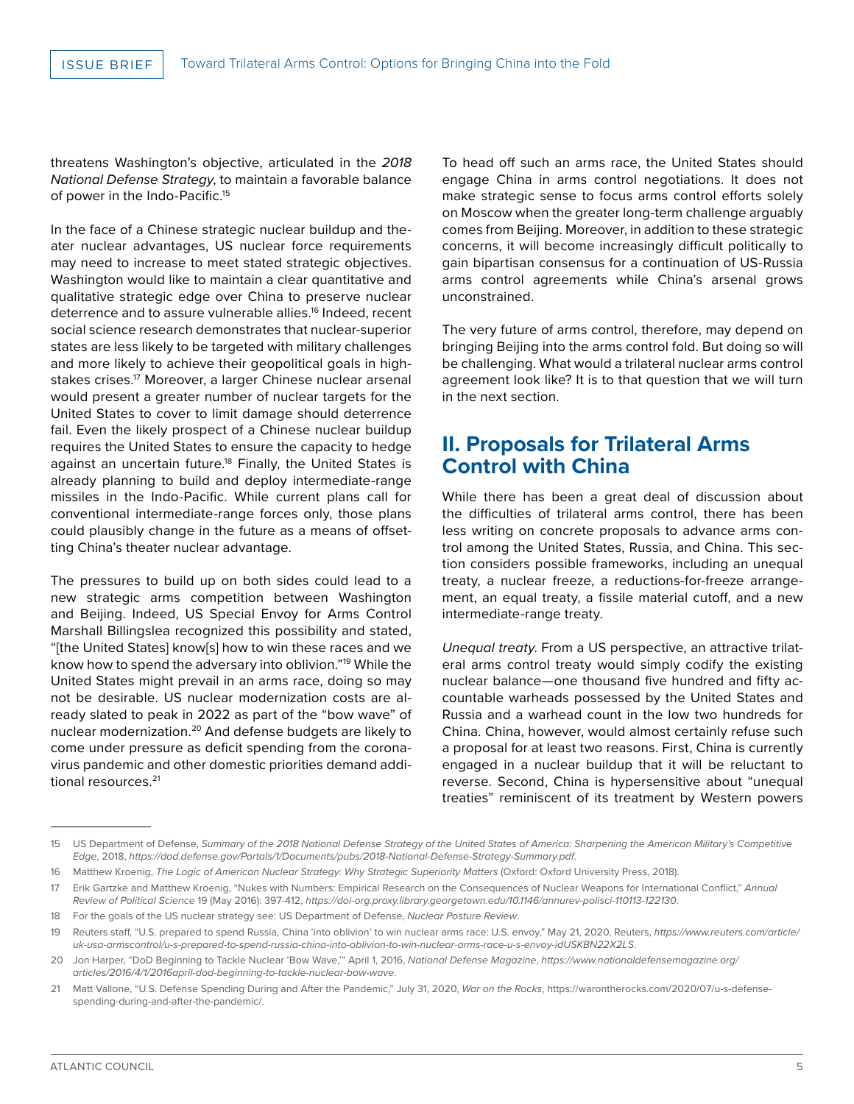threatens Washington's objective, articulated in the *2018 National Defense Strategy*, to maintain a favorable balance of power in the Indo-Pacific.<sup>15</sup>

In the face of a Chinese strategic nuclear buildup and theater nuclear advantages, US nuclear force requirements may need to increase to meet stated strategic objectives. Washington would like to maintain a clear quantitative and qualitative strategic edge over China to preserve nuclear deterrence and to assure vulnerable allies.<sup>16</sup> Indeed, recent social science research demonstrates that nuclear-superior states are less likely to be targeted with military challenges and more likely to achieve their geopolitical goals in highstakes crises.<sup>17</sup> Moreover, a larger Chinese nuclear arsenal would present a greater number of nuclear targets for the United States to cover to limit damage should deterrence fail. Even the likely prospect of a Chinese nuclear buildup requires the United States to ensure the capacity to hedge against an uncertain future.<sup>18</sup> Finally, the United States is already planning to build and deploy intermediate-range missiles in the Indo-Pacific. While current plans call for conventional intermediate-range forces only, those plans could plausibly change in the future as a means of offsetting China's theater nuclear advantage.

The pressures to build up on both sides could lead to a new strategic arms competition between Washington and Beijing. Indeed, US Special Envoy for Arms Control Marshall Billingslea recognized this possibility and stated, "[the United States] know[s] how to win these races and we know how to spend the adversary into oblivion."19 While the United States might prevail in an arms race, doing so may not be desirable. US nuclear modernization costs are already slated to peak in 2022 as part of the "bow wave" of nuclear modernization.<sup>20</sup> And defense budgets are likely to come under pressure as deficit spending from the coronavirus pandemic and other domestic priorities demand additional resources.<sup>21</sup>

To head off such an arms race, the United States should engage China in arms control negotiations. It does not make strategic sense to focus arms control efforts solely on Moscow when the greater long-term challenge arguably comes from Beijing. Moreover, in addition to these strategic concerns, it will become increasingly difficult politically to gain bipartisan consensus for a continuation of US-Russia arms control agreements while China's arsenal grows unconstrained.

The very future of arms control, therefore, may depend on bringing Beijing into the arms control fold. But doing so will be challenging. What would a trilateral nuclear arms control agreement look like? It is to that question that we will turn in the next section.

# **II. Proposals for Trilateral Arms Control with China**

While there has been a great deal of discussion about the difficulties of trilateral arms control, there has been less writing on concrete proposals to advance arms control among the United States, Russia, and China. This section considers possible frameworks, including an unequal treaty, a nuclear freeze, a reductions-for-freeze arrangement, an equal treaty, a fissile material cutoff, and a new intermediate-range treaty.

*Unequal treaty*. From a US perspective, an attractive trilateral arms control treaty would simply codify the existing nuclear balance—one thousand five hundred and fifty accountable warheads possessed by the United States and Russia and a warhead count in the low two hundreds for China. China, however, would almost certainly refuse such a proposal for at least two reasons. First, China is currently engaged in a nuclear buildup that it will be reluctant to reverse. Second, China is hypersensitive about "unequal treaties" reminiscent of its treatment by Western powers

<sup>15</sup> US Department of Defense, *Summary of the 2018 National Defense Strategy of the United States of America: Sharpening the American Military's Competitive Edge*, 2018, *<https://dod.defense.gov/Portals/1/Documents/pubs/2018-National-Defense-Strategy-Summary.pdf>*.

<sup>16</sup> Matthew Kroenig, The Logic of American Nuclear Strategy: Why Strategic Superiority Matters (Oxford: Oxford University Press, 2018).

<sup>17</sup> Erik Gartzke and Matthew Kroenig, "Nukes with Numbers: Empirical Research on the Consequences of Nuclear Weapons for International Conflict," *Annual Review of Political Science* 19 (May 2016): 397-412, *<https://doi-org.proxy.library.georgetown.edu/10.1146/annurev-polisci-110113-122130>*.

<sup>18</sup> For the goals of the US nuclear strategy see: US Department of Defense, *Nuclear Posture Review*.

<sup>19</sup> Reuters staff, "U.S. prepared to spend Russia, China 'into oblivion' to win nuclear arms race: U.S. envoy," May 21, 2020, Reuters, *[https://www.reuters.com/article/](https://www.reuters.com/article/uk-usa-armscontrol/u-s-prepared-to-spend-russia-china-into-oblivion-to-win-nuclear-arms-race-u-s-envoy-idUSKBN22X2LS) [uk-usa-armscontrol/u-s-prepared-to-spend-russia-china-into-oblivion-to-win-nuclear-arms-race-u-s-envoy-idUSKBN22X2LS](https://www.reuters.com/article/uk-usa-armscontrol/u-s-prepared-to-spend-russia-china-into-oblivion-to-win-nuclear-arms-race-u-s-envoy-idUSKBN22X2LS)*.

<sup>20</sup> Jon Harper, "DoD Beginning to Tackle Nuclear 'Bow Wave,'" April 1, 2016, *National Defense Magazine*, *[https://www.nationaldefensemagazine.org/](https://www.nationaldefensemagazine.org/articles/2016/4/1/2016april-dod-beginning-to-tackle-nuclear-bow-wave) [articles/2016/4/1/2016april-dod-beginning-to-tackle-nuclear-bow-wave](https://www.nationaldefensemagazine.org/articles/2016/4/1/2016april-dod-beginning-to-tackle-nuclear-bow-wave)*.

<sup>21</sup> Matt Vallone, "U.S. Defense Spending During and After the Pandemic," July 31, 2020, *War on the Rocks*, https://warontherocks.com/2020/07/u-s-defensespending-during-and-after-the-pandemic/.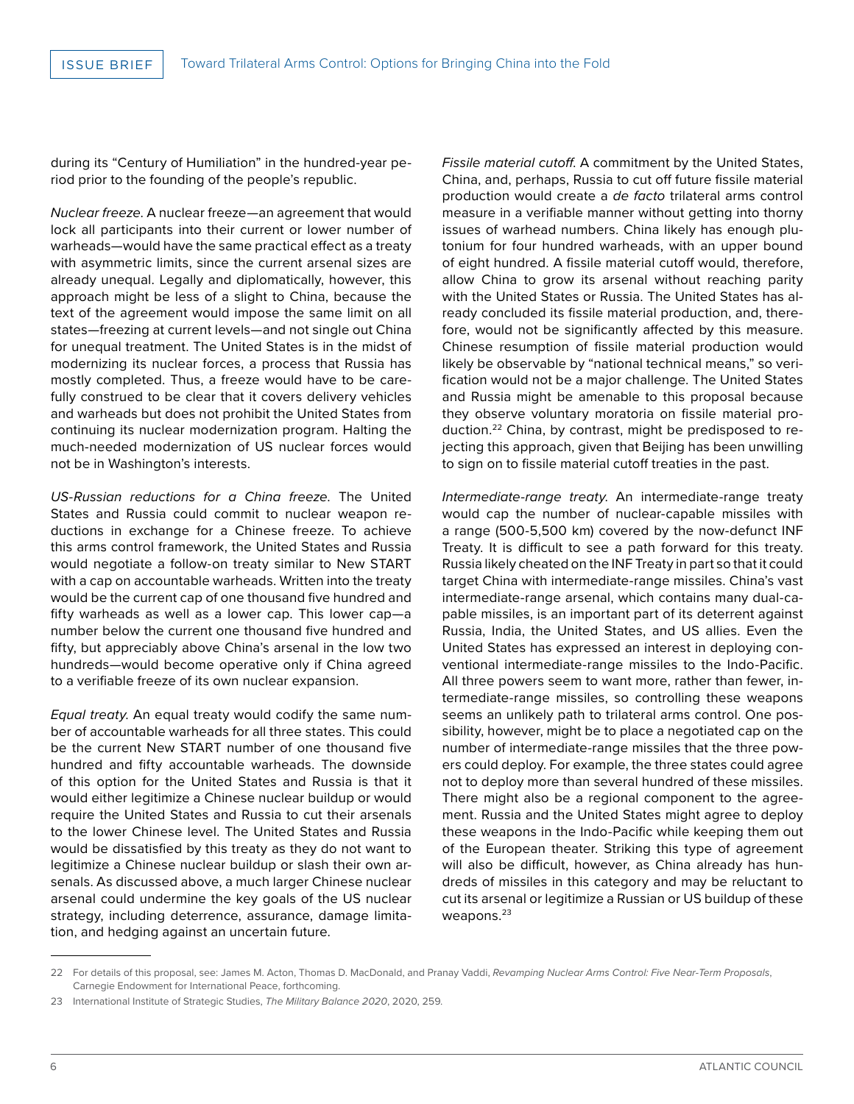during its "Century of Humiliation" in the hundred-year period prior to the founding of the people's republic.

*Nuclear freeze*. A nuclear freeze—an agreement that would lock all participants into their current or lower number of warheads—would have the same practical effect as a treaty with asymmetric limits, since the current arsenal sizes are already unequal. Legally and diplomatically, however, this approach might be less of a slight to China, because the text of the agreement would impose the same limit on all states—freezing at current levels—and not single out China for unequal treatment. The United States is in the midst of modernizing its nuclear forces, a process that Russia has mostly completed. Thus, a freeze would have to be carefully construed to be clear that it covers delivery vehicles and warheads but does not prohibit the United States from continuing its nuclear modernization program. Halting the much-needed modernization of US nuclear forces would not be in Washington's interests.

*US-Russian reductions for a China freeze*. The United States and Russia could commit to nuclear weapon reductions in exchange for a Chinese freeze. To achieve this arms control framework, the United States and Russia would negotiate a follow-on treaty similar to New START with a cap on accountable warheads. Written into the treaty would be the current cap of one thousand five hundred and fifty warheads as well as a lower cap. This lower cap—a number below the current one thousand five hundred and fifty, but appreciably above China's arsenal in the low two hundreds—would become operative only if China agreed to a verifiable freeze of its own nuclear expansion.

*Equal treaty*. An equal treaty would codify the same number of accountable warheads for all three states. This could be the current New START number of one thousand five hundred and fifty accountable warheads. The downside of this option for the United States and Russia is that it would either legitimize a Chinese nuclear buildup or would require the United States and Russia to cut their arsenals to the lower Chinese level. The United States and Russia would be dissatisfied by this treaty as they do not want to legitimize a Chinese nuclear buildup or slash their own arsenals. As discussed above, a much larger Chinese nuclear arsenal could undermine the key goals of the US nuclear strategy, including deterrence, assurance, damage limitation, and hedging against an uncertain future.

*Fissile material cutoff*. A commitment by the United States, China, and, perhaps, Russia to cut off future fissile material production would create a *de facto* trilateral arms control measure in a verifiable manner without getting into thorny issues of warhead numbers. China likely has enough plutonium for four hundred warheads, with an upper bound of eight hundred. A fissile material cutoff would, therefore, allow China to grow its arsenal without reaching parity with the United States or Russia. The United States has already concluded its fissile material production, and, therefore, would not be significantly affected by this measure. Chinese resumption of fissile material production would likely be observable by "national technical means," so verification would not be a major challenge. The United States and Russia might be amenable to this proposal because they observe voluntary moratoria on fissile material production.22 China, by contrast, might be predisposed to rejecting this approach, given that Beijing has been unwilling to sign on to fissile material cutoff treaties in the past.

*Intermediate-range treaty*. An intermediate-range treaty would cap the number of nuclear-capable missiles with a range (500-5,500 km) covered by the now-defunct INF Treaty. It is difficult to see a path forward for this treaty. Russia likely cheated on the INF Treaty in part so that it could target China with intermediate-range missiles. China's vast intermediate-range arsenal, which contains many dual-capable missiles, is an important part of its deterrent against Russia, India, the United States, and US allies. Even the United States has expressed an interest in deploying conventional intermediate-range missiles to the Indo-Pacific. All three powers seem to want more, rather than fewer, intermediate-range missiles, so controlling these weapons seems an unlikely path to trilateral arms control. One possibility, however, might be to place a negotiated cap on the number of intermediate-range missiles that the three powers could deploy. For example, the three states could agree not to deploy more than several hundred of these missiles. There might also be a regional component to the agreement. Russia and the United States might agree to deploy these weapons in the Indo-Pacific while keeping them out of the European theater. Striking this type of agreement will also be difficult, however, as China already has hundreds of missiles in this category and may be reluctant to cut its arsenal or legitimize a Russian or US buildup of these weapons.<sup>23</sup>

<sup>22</sup> For details of this proposal, see: James M. Acton, Thomas D. MacDonald, and Pranay Vaddi, *Revamping Nuclear Arms Control: Five Near-Term Proposals*, Carnegie Endowment for International Peace, forthcoming.

<sup>23</sup> International Institute of Strategic Studies, *The Military Balance 2020*, 2020, 259.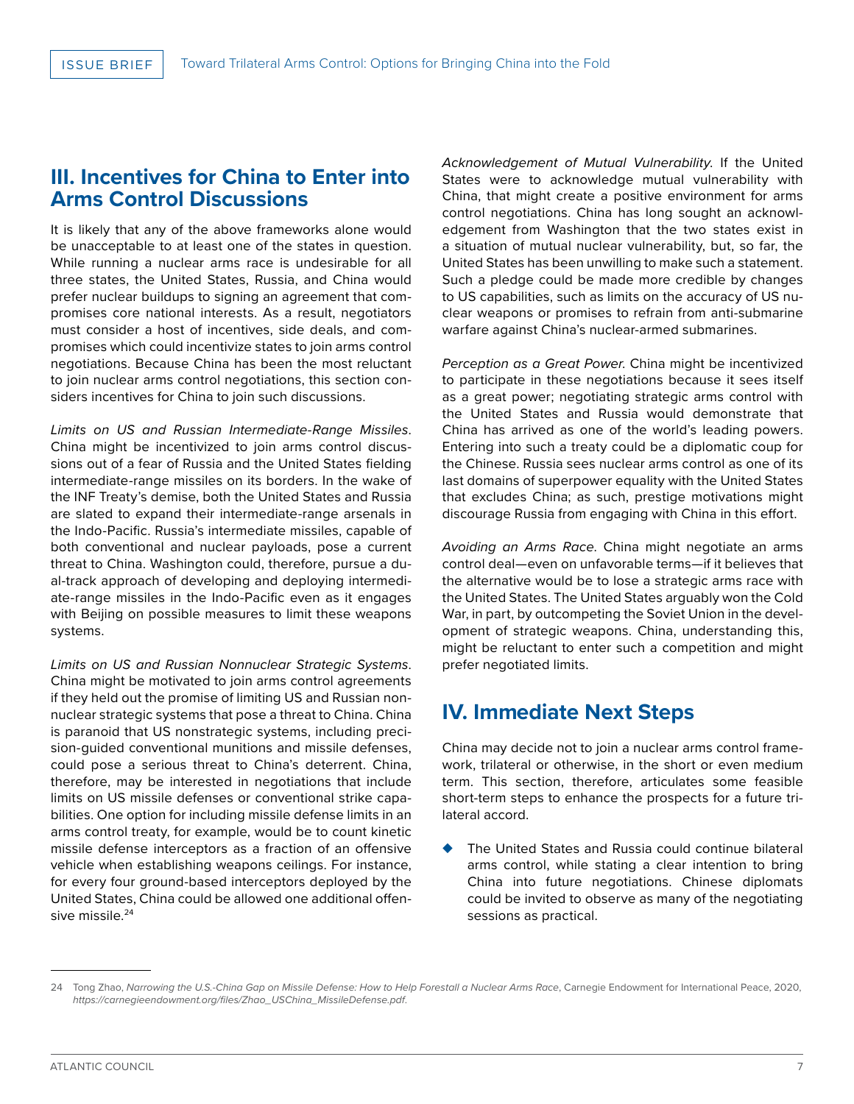# **III. Incentives for China to Enter into Arms Control Discussions**

It is likely that any of the above frameworks alone would be unacceptable to at least one of the states in question. While running a nuclear arms race is undesirable for all three states, the United States, Russia, and China would prefer nuclear buildups to signing an agreement that compromises core national interests. As a result, negotiators must consider a host of incentives, side deals, and compromises which could incentivize states to join arms control negotiations. Because China has been the most reluctant to join nuclear arms control negotiations, this section considers incentives for China to join such discussions.

*Limits on US and Russian Intermediate-Range Missiles*. China might be incentivized to join arms control discussions out of a fear of Russia and the United States fielding intermediate-range missiles on its borders. In the wake of the INF Treaty's demise, both the United States and Russia are slated to expand their intermediate-range arsenals in the Indo-Pacific. Russia's intermediate missiles, capable of both conventional and nuclear payloads, pose a current threat to China. Washington could, therefore, pursue a dual-track approach of developing and deploying intermediate-range missiles in the Indo-Pacific even as it engages with Beijing on possible measures to limit these weapons systems.

*Limits on US and Russian Nonnuclear Strategic Systems*. China might be motivated to join arms control agreements if they held out the promise of limiting US and Russian nonnuclear strategic systems that pose a threat to China. China is paranoid that US nonstrategic systems, including precision-guided conventional munitions and missile defenses, could pose a serious threat to China's deterrent. China, therefore, may be interested in negotiations that include limits on US missile defenses or conventional strike capabilities. One option for including missile defense limits in an arms control treaty, for example, would be to count kinetic missile defense interceptors as a fraction of an offensive vehicle when establishing weapons ceilings. For instance, for every four ground-based interceptors deployed by the United States, China could be allowed one additional offensive missile.<sup>24</sup>

*Acknowledgement of Mutual Vulnerability*. If the United States were to acknowledge mutual vulnerability with China, that might create a positive environment for arms control negotiations. China has long sought an acknowledgement from Washington that the two states exist in a situation of mutual nuclear vulnerability, but, so far, the United States has been unwilling to make such a statement. Such a pledge could be made more credible by changes to US capabilities, such as limits on the accuracy of US nuclear weapons or promises to refrain from anti-submarine warfare against China's nuclear-armed submarines.

*Perception as a Great Power*. China might be incentivized to participate in these negotiations because it sees itself as a great power; negotiating strategic arms control with the United States and Russia would demonstrate that China has arrived as one of the world's leading powers. Entering into such a treaty could be a diplomatic coup for the Chinese. Russia sees nuclear arms control as one of its last domains of superpower equality with the United States that excludes China; as such, prestige motivations might discourage Russia from engaging with China in this effort.

*Avoiding an Arms Race*. China might negotiate an arms control deal—even on unfavorable terms—if it believes that the alternative would be to lose a strategic arms race with the United States. The United States arguably won the Cold War, in part, by outcompeting the Soviet Union in the development of strategic weapons. China, understanding this, might be reluctant to enter such a competition and might prefer negotiated limits.

# **IV. Immediate Next Steps**

China may decide not to join a nuclear arms control framework, trilateral or otherwise, in the short or even medium term. This section, therefore, articulates some feasible short-term steps to enhance the prospects for a future trilateral accord.

◆ The United States and Russia could continue bilateral arms control, while stating a clear intention to bring China into future negotiations. Chinese diplomats could be invited to observe as many of the negotiating sessions as practical.

<sup>24</sup> Tong Zhao, *Narrowing the U.S.-China Gap on Missile Defense: How to Help Forestall a Nuclear Arms Race*, Carnegie Endowment for International Peace, 2020, *https://carnegieendowment.org/files/Zhao\_USChina\_MissileDefense.pdf*.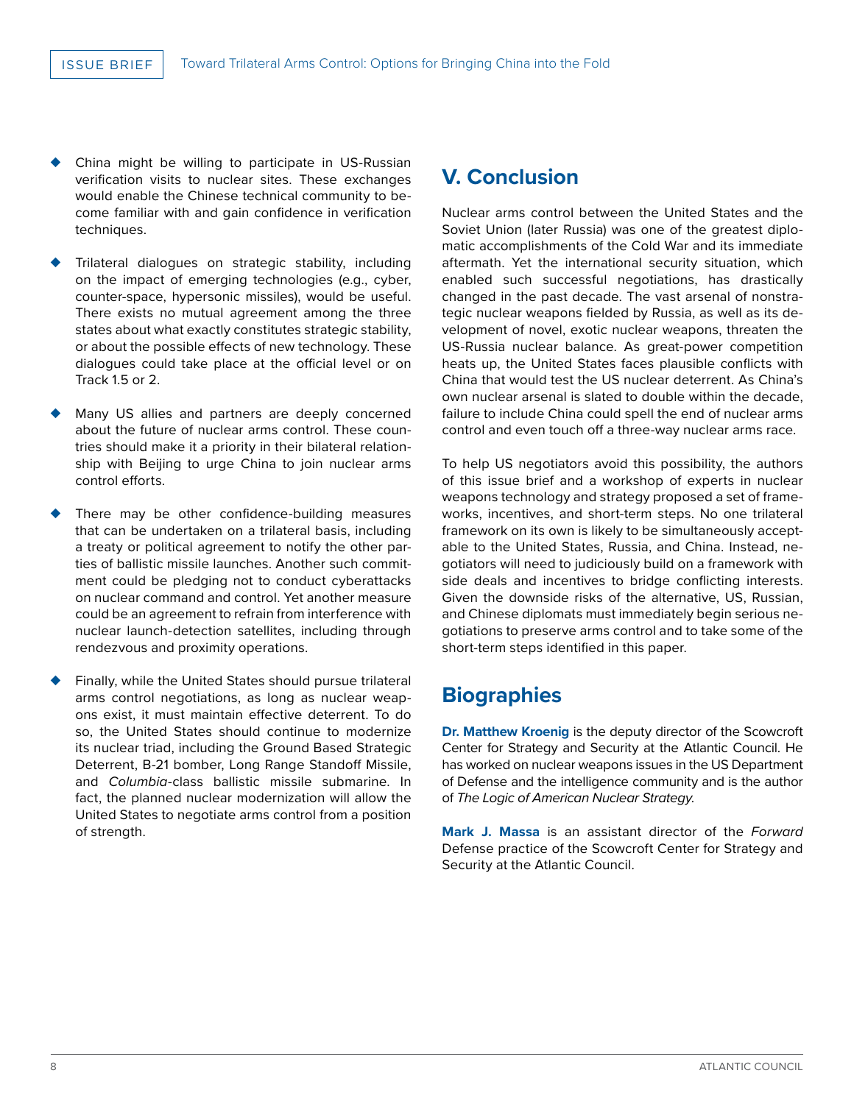- China might be willing to participate in US-Russian verification visits to nuclear sites. These exchanges would enable the Chinese technical community to become familiar with and gain confidence in verification techniques.
- Trilateral dialogues on strategic stability, including on the impact of emerging technologies (e.g., cyber, counter-space, hypersonic missiles), would be useful. There exists no mutual agreement among the three states about what exactly constitutes strategic stability, or about the possible effects of new technology. These dialogues could take place at the official level or on Track 1.5 or 2.
- Many US allies and partners are deeply concerned about the future of nuclear arms control. These countries should make it a priority in their bilateral relationship with Beijing to urge China to join nuclear arms control efforts.
- There may be other confidence-building measures that can be undertaken on a trilateral basis, including a treaty or political agreement to notify the other parties of ballistic missile launches. Another such commitment could be pledging not to conduct cyberattacks on nuclear command and control. Yet another measure could be an agreement to refrain from interference with nuclear launch-detection satellites, including through rendezvous and proximity operations.
- Finally, while the United States should pursue trilateral arms control negotiations, as long as nuclear weapons exist, it must maintain effective deterrent. To do so, the United States should continue to modernize its nuclear triad, including the Ground Based Strategic Deterrent, B-21 bomber, Long Range Standoff Missile, and *Columbia*-class ballistic missile submarine. In fact, the planned nuclear modernization will allow the United States to negotiate arms control from a position of strength.

# **V. Conclusion**

Nuclear arms control between the United States and the Soviet Union (later Russia) was one of the greatest diplomatic accomplishments of the Cold War and its immediate aftermath. Yet the international security situation, which enabled such successful negotiations, has drastically changed in the past decade. The vast arsenal of nonstrategic nuclear weapons fielded by Russia, as well as its development of novel, exotic nuclear weapons, threaten the US-Russia nuclear balance. As great-power competition heats up, the United States faces plausible conflicts with China that would test the US nuclear deterrent. As China's own nuclear arsenal is slated to double within the decade, failure to include China could spell the end of nuclear arms control and even touch off a three-way nuclear arms race.

To help US negotiators avoid this possibility, the authors of this issue brief and a workshop of experts in nuclear weapons technology and strategy proposed a set of frameworks, incentives, and short-term steps. No one trilateral framework on its own is likely to be simultaneously acceptable to the United States, Russia, and China. Instead, negotiators will need to judiciously build on a framework with side deals and incentives to bridge conflicting interests. Given the downside risks of the alternative, US, Russian, and Chinese diplomats must immediately begin serious negotiations to preserve arms control and to take some of the short-term steps identified in this paper.

# **Biographies**

**Dr. Matthew Kroenig** is the deputy director of the Scowcroft Center for Strategy and Security at the Atlantic Council. He has worked on nuclear weapons issues in the US Department of Defense and the intelligence community and is the author of *The Logic of American Nuclear Strategy*.

**Mark J. Massa** is an assistant director of the *Forward*  Defense practice of the Scowcroft Center for Strategy and Security at the Atlantic Council.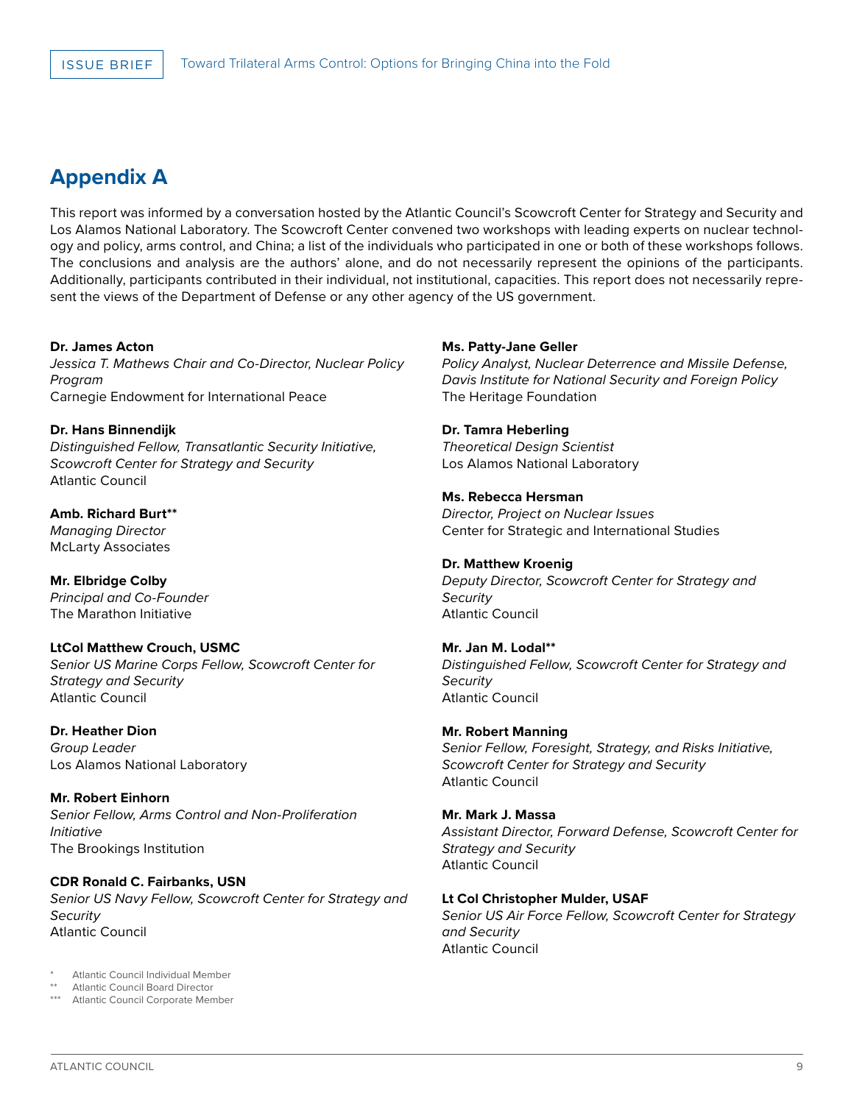# **Appendix A**

This report was informed by a conversation hosted by the Atlantic Council's Scowcroft Center for Strategy and Security and Los Alamos National Laboratory. The Scowcroft Center convened two workshops with leading experts on nuclear technology and policy, arms control, and China; a list of the individuals who participated in one or both of these workshops follows. The conclusions and analysis are the authors' alone, and do not necessarily represent the opinions of the participants. Additionally, participants contributed in their individual, not institutional, capacities. This report does not necessarily represent the views of the Department of Defense or any other agency of the US government.

## **Dr. James Acton**

*Jessica T. Mathews Chair and Co-Director, Nuclear Policy Program* Carnegie Endowment for International Peace

**Dr. Hans Binnendijk** *Distinguished Fellow, Transatlantic Security Initiative, Scowcroft Center for Strategy and Security* Atlantic Council

**Amb. Richard Burt\*\*** *Managing Director* McLarty Associates

**Mr. Elbridge Colby** *Principal and Co-Founder* The Marathon Initiative

# **LtCol Matthew Crouch, USMC**

*Senior US Marine Corps Fellow, Scowcroft Center for Strategy and Security* Atlantic Council

**Dr. Heather Dion** *Group Leader* Los Alamos National Laboratory

**Mr. Robert Einhorn** *Senior Fellow, Arms Control and Non-Proliferation Initiative* The Brookings Institution

## **CDR Ronald C. Fairbanks, USN** *Senior US Navy Fellow, Scowcroft Center for Strategy and Security* Atlantic Council

Atlantic Council Individual Member

Atlantic Council Board Director \*\*\* Atlantic Council Corporate Member

## **Ms. Patty-Jane Geller**

*Policy Analyst, Nuclear Deterrence and Missile Defense, Davis Institute for National Security and Foreign Policy* The Heritage Foundation

## **Dr. Tamra Heberling**

*Theoretical Design Scientist* Los Alamos National Laboratory

## **Ms. Rebecca Hersman**

*Director, Project on Nuclear Issues* Center for Strategic and International Studies

## **Dr. Matthew Kroenig**

*Deputy Director, Scowcroft Center for Strategy and Security* Atlantic Council

# **Mr. Jan M. Lodal\*\***

*Distinguished Fellow, Scowcroft Center for Strategy and Security* Atlantic Council

## **Mr. Robert Manning**

*Senior Fellow, Foresight, Strategy, and Risks Initiative, Scowcroft Center for Strategy and Security* Atlantic Council

# **Mr. Mark J. Massa**

*Assistant Director, Forward Defense, Scowcroft Center for Strategy and Security* Atlantic Council

## **Lt Col Christopher Mulder, USAF**

*Senior US Air Force Fellow, Scowcroft Center for Strategy and Security* Atlantic Council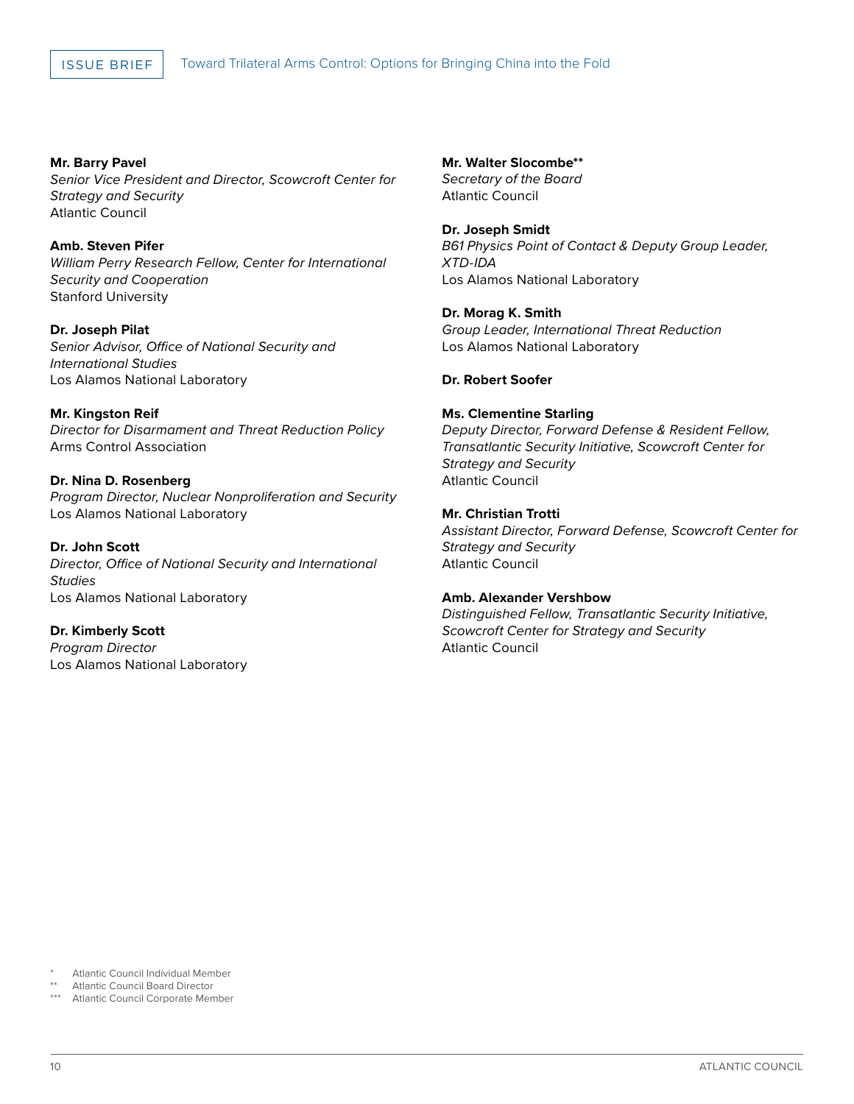**Mr. Barry Pavel** *Senior Vice President and Director, Scowcroft Center for Strategy and Security* Atlantic Council

**Amb. Steven Pifer** *William Perry Research Fellow, Center for International Security and Cooperation* Stanford University

**Dr. Joseph Pilat** *Senior Advisor, Office of National Security and International Studies* Los Alamos National Laboratory

**Mr. Kingston Reif** *Director for Disarmament and Threat Reduction Policy* Arms Control Association

**Dr. Nina D. Rosenberg** *Program Director, Nuclear Nonproliferation and Security* Los Alamos National Laboratory

**Dr. John Scott** *Director, Office of National Security and International Studies* Los Alamos National Laboratory

**Dr. Kimberly Scott** *Program Director* Los Alamos National Laboratory **Mr. Walter Slocombe\*\*** *Secretary of the Board* Atlantic Council

**Dr. Joseph Smidt** *B61 Physics Point of Contact & Deputy Group Leader, XTD-IDA*  Los Alamos National Laboratory

**Dr. Morag K. Smith** *Group Leader, International Threat Reduction* Los Alamos National Laboratory

**Dr. Robert Soofer**

# **Ms. Clementine Starling**

*Deputy Director, Forward Defense & Resident Fellow, Transatlantic Security Initiative, Scowcroft Center for Strategy and Security* Atlantic Council

# **Mr. Christian Trotti**

*Assistant Director, Forward Defense, Scowcroft Center for Strategy and Security* Atlantic Council

## **Amb. Alexander Vershbow**

*Distinguished Fellow, Transatlantic Security Initiative, Scowcroft Center for Strategy and Security* Atlantic Council

- Atlantic Council Individual Member
- Atlantic Council Board Director
- \*\*\* Atlantic Council Corporate Member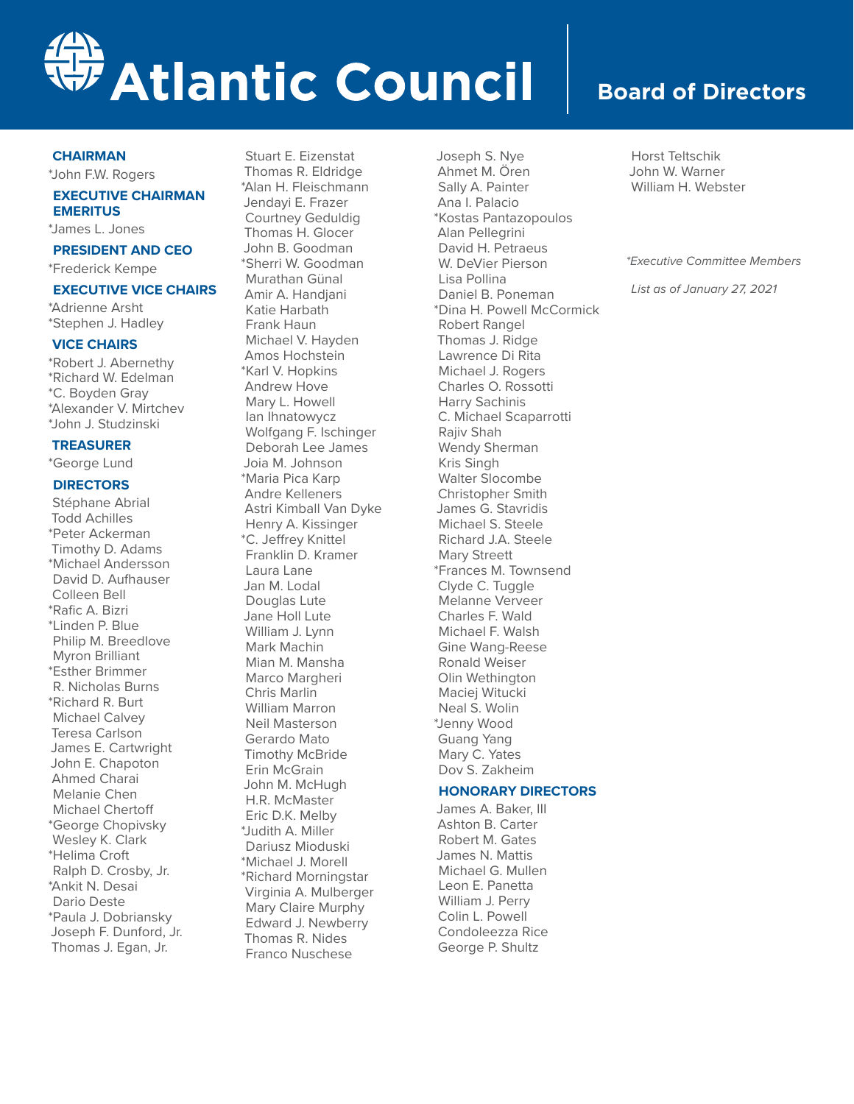

## **CHAIRMAN**

\*John F.W. Rogers

## **EXECUTIVE CHAIRMAN EMERITUS**

\*James L. Jones

#### **PRESIDENT AND CEO**

\*Frederick Kempe

# **EXECUTIVE VICE CHAIRS**

\*Adrienne Arsht \*Stephen J. Hadley

#### **VICE CHAIRS**

\*Robert J. Abernethy \*Richard W. Edelman \*C. Boyden Gray \*Alexander V. Mirtchev \*John J. Studzinski

## **TREASURER**

\*George Lund

#### **DIRECTORS**

Stéphane Abrial Todd Achilles \*Peter Ackerman Timothy D. Adams \*Michael Andersson David D. Aufhauser Colleen Bell \*Rafic A. Bizri \*Linden P. Blue Philip M. Breedlove Myron Brilliant \*Esther Brimmer R. Nicholas Burns \*Richard R. Burt Michael Calvey Teresa Carlson James E. Cartwright John E. Chapoton Ahmed Charai Melanie Chen Michael Chertoff \*George Chopivsky Wesley K. Clark \*Helima Croft Ralph D. Crosby, Jr. \*Ankit N. Desai Dario Deste \*Paula J. Dobriansky Joseph F. Dunford, Jr. Thomas J. Egan, Jr.

Stuart E. Eizenstat Thomas R. Eldridge \*Alan H. Fleischmann Jendayi E. Frazer Courtney Geduldig Thomas H. Glocer John B. Goodman \*Sherri W. Goodman Murathan Günal Amir A. Handjani Katie Harbath Frank Haun Michael V. Hayden Amos Hochstein \*Karl V. Hopkins Andrew Hove Mary L. Howell Ian Ihnatowycz Wolfgang F. Ischinger Deborah Lee James Joia M. Johnson \*Maria Pica Karp Andre Kelleners Astri Kimball Van Dyke Henry A. Kissinger \*C. Jeffrey Knittel Franklin D. Kramer Laura Lane Jan M. Lodal Douglas Lute Jane Holl Lute William J. Lynn Mark Machin Mian M. Mansha Marco Margheri Chris Marlin William Marron Neil Masterson Gerardo Mato Timothy McBride Erin McGrain John M. McHugh H.R. McMaster Eric D.K. Melby \*Judith A. Miller Dariusz Mioduski \*Michael J. Morell \*Richard Morningstar Virginia A. Mulberger Mary Claire Murphy Edward J. Newberry Thomas R. Nides Franco Nuschese

Joseph S. Nye Ahmet M. Ören Sally A. Painter Ana I. Palacio \*Kostas Pantazopoulos Alan Pellegrini David H. Petraeus W. DeVier Pierson Lisa Pollina Daniel B. Poneman \*Dina H. Powell McCormick Robert Rangel Thomas J. Ridge Lawrence Di Rita Michael J. Rogers Charles O. Rossotti Harry Sachinis C. Michael Scaparrotti Rajiv Shah Wendy Sherman Kris Singh Walter Slocombe Christopher Smith James G. Stavridis Michael S. Steele Richard J.A. Steele Mary Streett \*Frances M. Townsend Clyde C. Tuggle Melanne Verveer Charles F. Wald Michael F. Walsh Gine Wang-Reese Ronald Weiser Olin Wethington Maciej Witucki Neal S. Wolin \*Jenny Wood Guang Yang Mary C. Yates Dov S. Zakheim

# **HONORARY DIRECTORS**

James A. Baker, III Ashton B. Carter Robert M. Gates James N. Mattis Michael G. Mullen Leon E. Panetta William J. Perry Colin L. Powell Condoleezza Rice George P. Shultz

# **Board of Directors**

Horst Teltschik John W. Warner William H. Webster

#### *\*Executive Committee Members*

*List as of January 27, 2021*